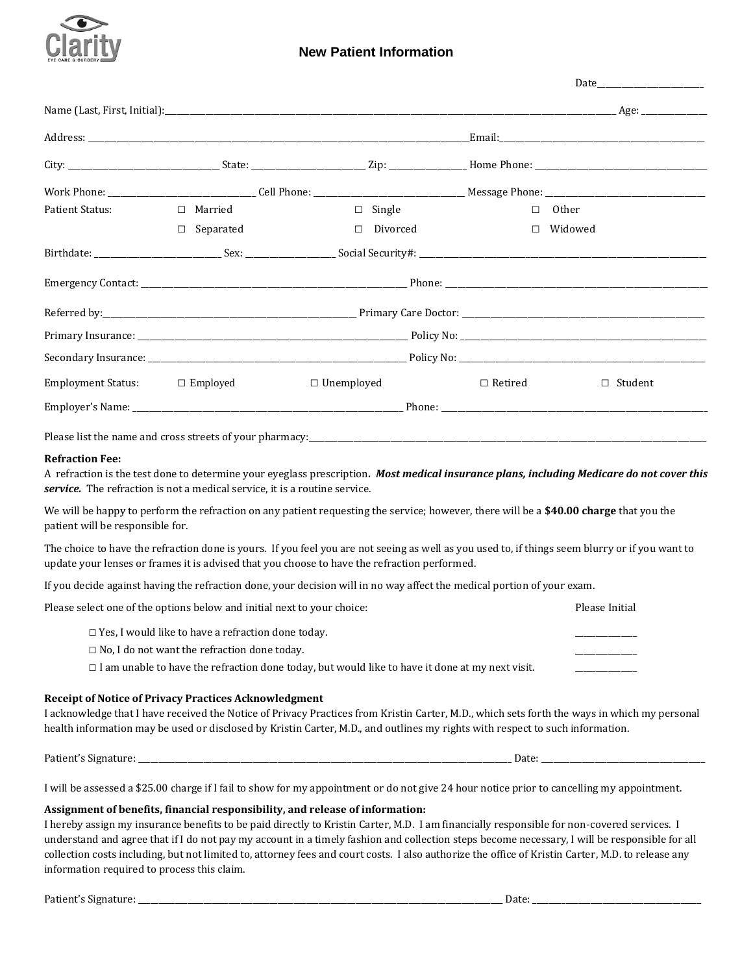

| Patient Status:                    | $\Box$ Married      | $\Box$ Single     |                | $\Box$ Other   |
|------------------------------------|---------------------|-------------------|----------------|----------------|
|                                    | Separated<br>$\Box$ | $\Box$ Divorced   |                | $\Box$ Widowed |
|                                    |                     |                   |                |                |
|                                    |                     |                   |                |                |
|                                    |                     |                   |                |                |
|                                    |                     |                   |                |                |
|                                    |                     |                   |                |                |
| Employment Status: $\Box$ Employed |                     | $\Box$ Unemployed | $\Box$ Retired | $\Box$ Student |
|                                    |                     |                   |                |                |

A refraction is the test done to determine your eyeglass prescription*. Most medical insurance plans, including Medicare do not cover this service.* The refraction is not a medical service, it is a routine service.

We will be happy to perform the refraction on any patient requesting the service; however, there will be a **\$40.00 charge** that you the patient will be responsible for.

The choice to have the refraction done is yours. If you feel you are not seeing as well as you used to, if things seem blurry or if you want to update your lenses or frames it is advised that you choose to have the refraction performed.

If you decide against having the refraction done, your decision will in no way affect the medical portion of your exam.

| Please select one of the options below and initial next to your choice:                                | Please Initial |
|--------------------------------------------------------------------------------------------------------|----------------|
| $\Box$ Yes, I would like to have a refraction done today.                                              |                |
| $\Box$ No, I do not want the refraction done today.                                                    |                |
| $\Box$ I am unable to have the refraction done today, but would like to have it done at my next visit. |                |

### **Receipt of Notice of Privacy Practices Acknowledgment**

I acknowledge that I have received the Notice of Privacy Practices from Kristin Carter, M.D., which sets forth the ways in which my personal health information may be used or disclosed by Kristin Carter, M.D., and outlines my rights with respect to such information.

Patient's Signature: \_\_\_\_\_\_\_\_\_\_\_\_\_\_\_\_\_\_\_\_\_\_\_\_\_\_\_\_\_\_\_\_\_\_\_\_\_\_\_\_\_\_\_\_\_\_\_\_\_\_\_\_\_\_\_\_\_\_\_\_\_\_\_\_\_\_\_\_\_\_\_\_\_\_\_\_\_\_\_\_\_\_\_\_\_\_\_\_\_\_\_ Date: \_\_\_\_\_\_\_\_\_\_\_\_\_\_\_\_\_\_\_\_\_\_\_\_\_\_\_\_\_\_\_\_\_\_\_\_\_\_\_\_

I will be assessed a \$25.00 charge if I fail to show for my appointment or do not give 24 hour notice prior to cancelling my appointment.

### **Assignment of benefits, financial responsibility, and release of information:**

I hereby assign my insurance benefits to be paid directly to Kristin Carter, M.D. I am financially responsible for non-covered services. I understand and agree that if I do not pay my account in a timely fashion and collection steps become necessary, I will be responsible for all collection costs including, but not limited to, attorney fees and court costs. I also authorize the office of Kristin Carter, M.D. to release any information required to process this claim.

Patient's Signature: \_\_\_\_\_\_\_\_\_\_\_\_\_\_\_\_\_\_\_\_\_\_\_\_\_\_\_\_\_\_\_\_\_\_\_\_\_\_\_\_\_\_\_\_\_\_\_\_\_\_\_\_\_\_\_\_\_\_\_\_\_\_\_\_\_\_\_\_\_\_\_\_\_\_\_\_\_\_\_\_\_\_\_\_\_\_\_\_\_ Date: \_\_\_\_\_\_\_\_\_\_\_\_\_\_\_\_\_\_\_\_\_\_\_\_\_\_\_\_\_\_\_\_\_\_\_\_\_\_\_\_\_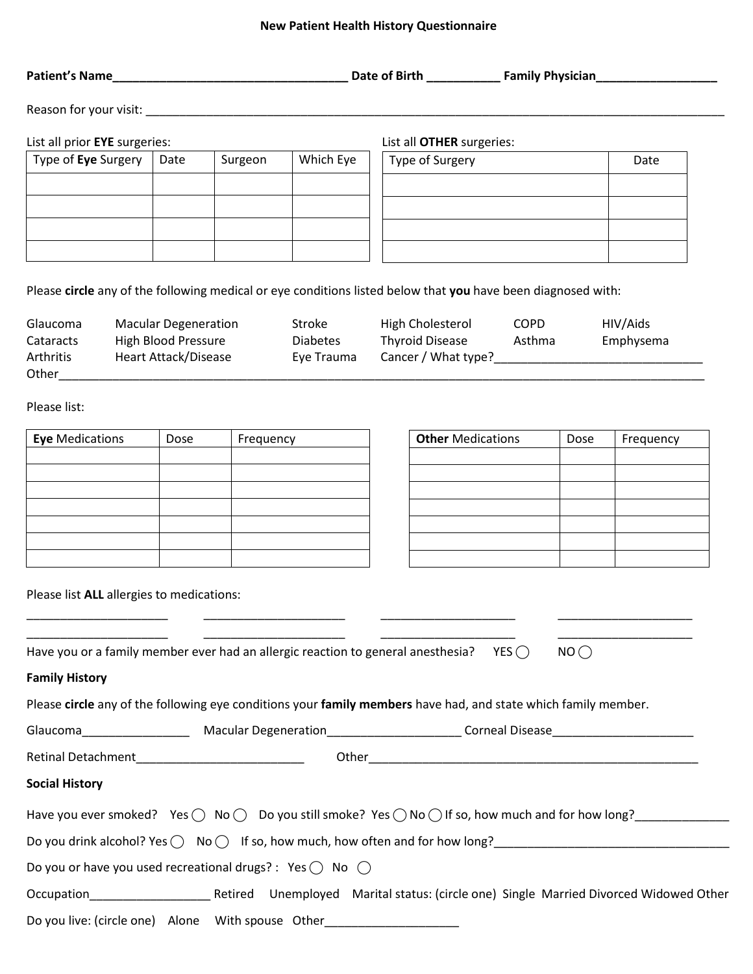# **New Patient Health History Questionnaire**

| List all prior EYE surgeries:                                                                                                                                                                                                              |                             |           |                                         | List all OTHER surgeries:                  |             |      |                       |
|--------------------------------------------------------------------------------------------------------------------------------------------------------------------------------------------------------------------------------------------|-----------------------------|-----------|-----------------------------------------|--------------------------------------------|-------------|------|-----------------------|
| Type of Eye Surgery                                                                                                                                                                                                                        | Date                        | Surgeon   | Which Eye                               | Type of Surgery                            |             |      | Date                  |
|                                                                                                                                                                                                                                            |                             |           |                                         |                                            |             |      |                       |
|                                                                                                                                                                                                                                            |                             |           |                                         |                                            |             |      |                       |
|                                                                                                                                                                                                                                            |                             |           |                                         |                                            |             |      |                       |
| Please circle any of the following medical or eye conditions listed below that you have been diagnosed with:                                                                                                                               |                             |           |                                         |                                            |             |      |                       |
| Glaucoma<br>Cataracts                                                                                                                                                                                                                      | High Blood Pressure         |           | Macular Degeneration Stroke<br>Diabetes | High Cholesterol<br>Thyroid Disease Asthma | <b>COPD</b> |      | HIV/Aids<br>Emphysema |
| Arthritis<br>Other design and the contract of the contract of the contract of the contract of the contract of the contract of the contract of the contract of the contract of the contract of the contract of the contract of the contract | <b>Heart Attack/Disease</b> |           | Eye Trauma                              |                                            |             |      |                       |
| Please list:                                                                                                                                                                                                                               |                             |           |                                         |                                            |             |      |                       |
| <b>Eye</b> Medications                                                                                                                                                                                                                     | Dose                        | Frequency |                                         | <b>Other Medications</b>                   |             | Dose | Frequency             |
|                                                                                                                                                                                                                                            |                             |           |                                         |                                            |             |      |                       |
|                                                                                                                                                                                                                                            |                             |           |                                         |                                            |             |      |                       |

Please list **ALL** allergies to medications:

| Have you or a family member ever had an allergic reaction to general anesthesia? YES $\bigcirc$<br>$NO$                               |
|---------------------------------------------------------------------------------------------------------------------------------------|
| <b>Family History</b>                                                                                                                 |
| Please circle any of the following eye conditions your family members have had, and state which family member.                        |
|                                                                                                                                       |
|                                                                                                                                       |
| <b>Social History</b>                                                                                                                 |
| Have you ever smoked? Yes $\bigcirc$ No $\bigcirc$ Do you still smoke? Yes $\bigcirc$ No $\bigcirc$ If so, how much and for how long? |
| Do you drink alcohol? Yes $\bigcap$ No $\bigcap$ If so, how much, how often and for how long?                                         |
| Do you or have you used recreational drugs? : Yes $\bigcirc$ No $\bigcirc$                                                            |
| Occupation Retired Unemployed Marital status: (circle one) Single Married Divorced Widowed Other                                      |
| Do you live: (circle one) Alone With spouse Other                                                                                     |

\_\_\_\_\_\_\_\_\_\_\_\_\_\_\_\_\_\_\_\_\_ \_\_\_\_\_\_\_\_\_\_\_\_\_\_\_\_\_\_\_\_\_ \_\_\_\_\_\_\_\_\_\_\_\_\_\_\_\_\_\_\_\_ \_\_\_\_\_\_\_\_\_\_\_\_\_\_\_\_\_\_\_\_